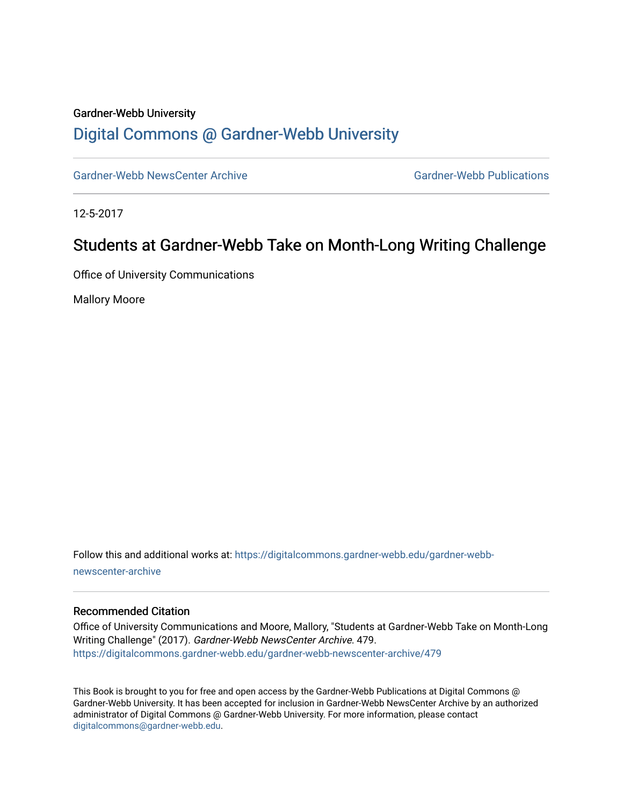#### Gardner-Webb University

## [Digital Commons @ Gardner-Webb University](https://digitalcommons.gardner-webb.edu/)

[Gardner-Webb NewsCenter Archive](https://digitalcommons.gardner-webb.edu/gardner-webb-newscenter-archive) Gardner-Webb Publications

12-5-2017

## Students at Gardner-Webb Take on Month-Long Writing Challenge

Office of University Communications

Mallory Moore

Follow this and additional works at: [https://digitalcommons.gardner-webb.edu/gardner-webb](https://digitalcommons.gardner-webb.edu/gardner-webb-newscenter-archive?utm_source=digitalcommons.gardner-webb.edu%2Fgardner-webb-newscenter-archive%2F479&utm_medium=PDF&utm_campaign=PDFCoverPages)[newscenter-archive](https://digitalcommons.gardner-webb.edu/gardner-webb-newscenter-archive?utm_source=digitalcommons.gardner-webb.edu%2Fgardner-webb-newscenter-archive%2F479&utm_medium=PDF&utm_campaign=PDFCoverPages)

#### Recommended Citation

Office of University Communications and Moore, Mallory, "Students at Gardner-Webb Take on Month-Long Writing Challenge" (2017). Gardner-Webb NewsCenter Archive. 479. [https://digitalcommons.gardner-webb.edu/gardner-webb-newscenter-archive/479](https://digitalcommons.gardner-webb.edu/gardner-webb-newscenter-archive/479?utm_source=digitalcommons.gardner-webb.edu%2Fgardner-webb-newscenter-archive%2F479&utm_medium=PDF&utm_campaign=PDFCoverPages)

This Book is brought to you for free and open access by the Gardner-Webb Publications at Digital Commons @ Gardner-Webb University. It has been accepted for inclusion in Gardner-Webb NewsCenter Archive by an authorized administrator of Digital Commons @ Gardner-Webb University. For more information, please contact [digitalcommons@gardner-webb.edu](mailto:digitalcommons@gardner-webb.edu).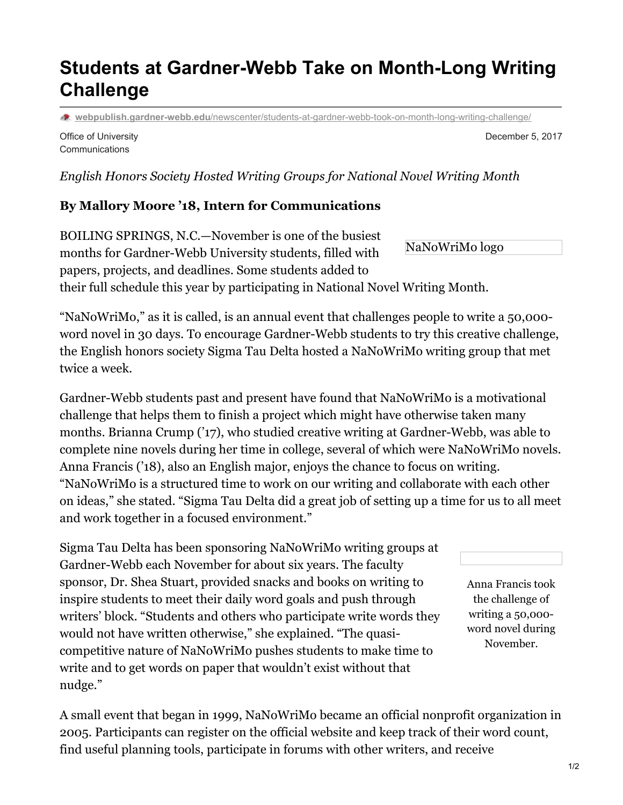# **Students at Gardner-Webb Take on Month-Long Writing Challenge**

**webpublish.gardner-webb.edu**[/newscenter/students-at-gardner-webb-took-on-month-long-writing-challenge/](https://webpublish.gardner-webb.edu/newscenter/students-at-gardner-webb-took-on-month-long-writing-challenge/)

Office of University **Communications** 

December 5, 2017

*English Honors Society Hosted Writing Groups for National Novel Writing Month*

### **By Mallory Moore '18, Intern for Communications**

NaNoWriMo logo BOILING SPRINGS, N.C.—November is one of the busiest months for Gardner-Webb University students, filled with papers, projects, and deadlines. Some students added to their full schedule this year by participating in National Novel Writing Month.

"NaNoWriMo," as it is called, is an annual event that challenges people to write a 50,000 word novel in 30 days. To encourage Gardner-Webb students to try this creative challenge, the English honors society Sigma Tau Delta hosted a NaNoWriMo writing group that met twice a week.

Gardner-Webb students past and present have found that NaNoWriMo is a motivational challenge that helps them to finish a project which might have otherwise taken many months. Brianna Crump ('17), who studied creative writing at Gardner-Webb, was able to complete nine novels during her time in college, several of which were NaNoWriMo novels. Anna Francis ('18), also an English major, enjoys the chance to focus on writing. "NaNoWriMo is a structured time to work on our writing and collaborate with each other on ideas," she stated. "Sigma Tau Delta did a great job of setting up a time for us to all meet and work together in a focused environment."

Sigma Tau Delta has been sponsoring NaNoWriMo writing groups at Gardner-Webb each November for about six years. The faculty sponsor, Dr. Shea Stuart, provided snacks and books on writing to inspire students to meet their daily word goals and push through writers' block. "Students and others who participate write words they would not have written otherwise," she explained. "The quasicompetitive nature of NaNoWriMo pushes students to make time to write and to get words on paper that wouldn't exist without that nudge."



Anna Francis took the challenge of writing a 50,000 word novel during November.

A small event that began in 1999, NaNoWriMo became an official nonprofit organization in 2005. Participants can register on the official website and keep track of their word count, find useful planning tools, participate in forums with other writers, and receive